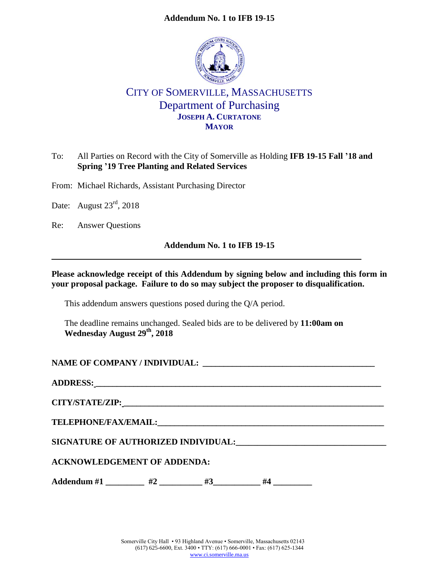### **Addendum No. 1 to IFB 19-15**



# CITY OF SOMERVILLE, MASSACHUSETTS Department of Purchasing **JOSEPH A. CURTATONE MAYOR**

# To: All Parties on Record with the City of Somerville as Holding **IFB 19-15 Fall '18 and Spring '19 Tree Planting and Related Services**

From: Michael Richards, Assistant Purchasing Director

Date: August 23<sup>rd</sup>, 2018

Re: Answer Questions

#### **Addendum No. 1 to IFB 19-15**

#### **Please acknowledge receipt of this Addendum by signing below and including this form in your proposal package. Failure to do so may subject the proposer to disqualification.**

This addendum answers questions posed during the Q/A period.

The deadline remains unchanged. Sealed bids are to be delivered by **11:00am on Wednesday August 29th, 2018**

#### NAME OF COMPANY / INDIVIDUAL:

| <b>SIGNATURE OF AUTHORIZED INDIVIDUAL:</b> |
|--------------------------------------------|

# **ACKNOWLEDGEMENT OF ADDENDA:**

**Addendum #1 \_\_\_\_\_\_\_\_\_\_ #2 \_\_\_\_\_\_\_ #3** \_\_\_\_\_ #4